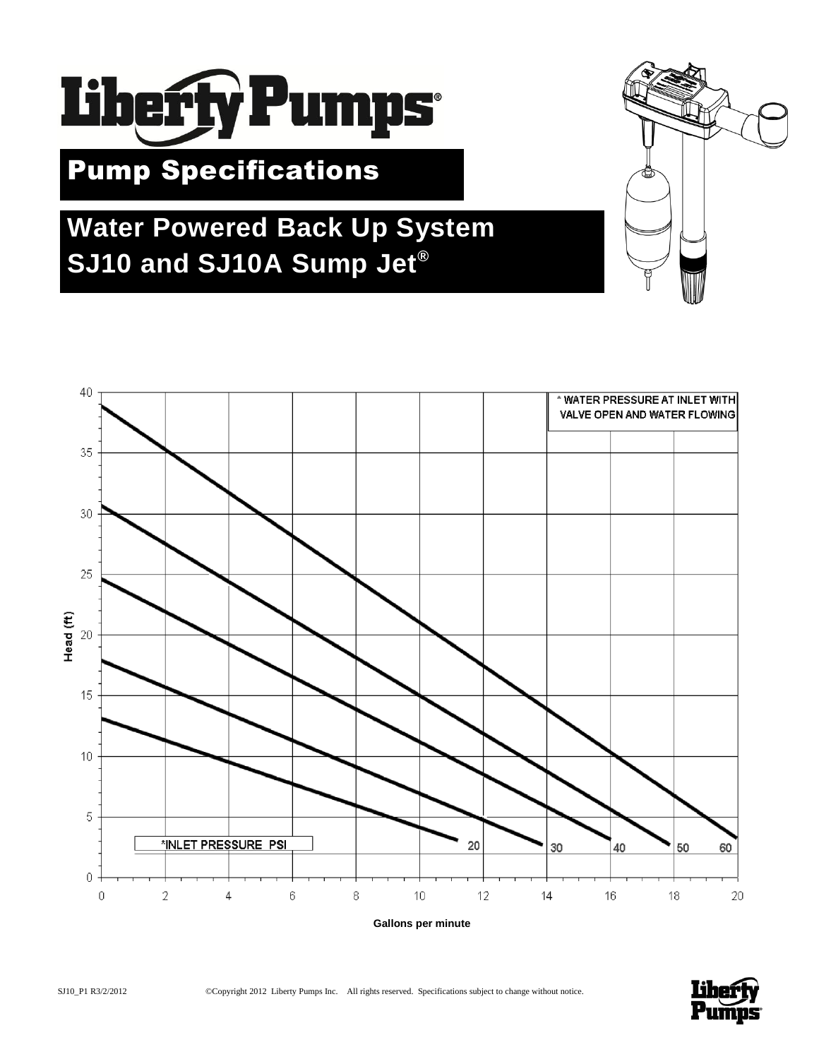

# Pump Specifications

# **Water Powered Back Up System SJ10 and SJ10A Sump Jet®**



**Gallons per minute**

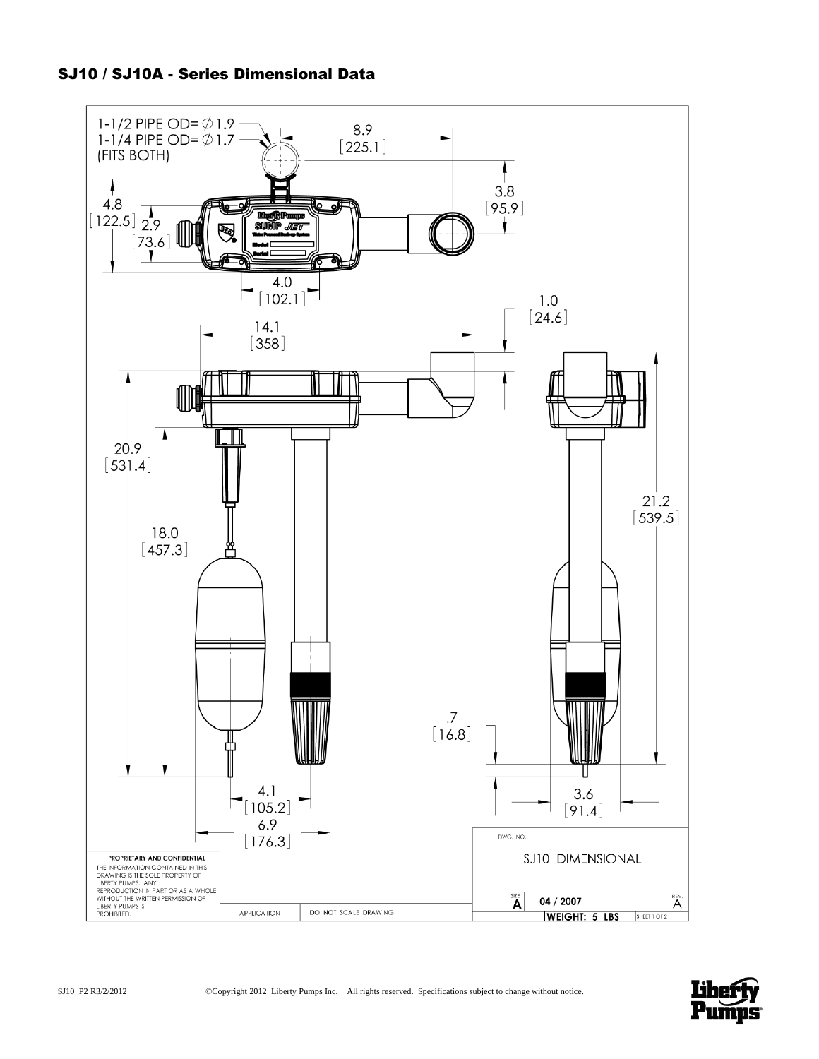

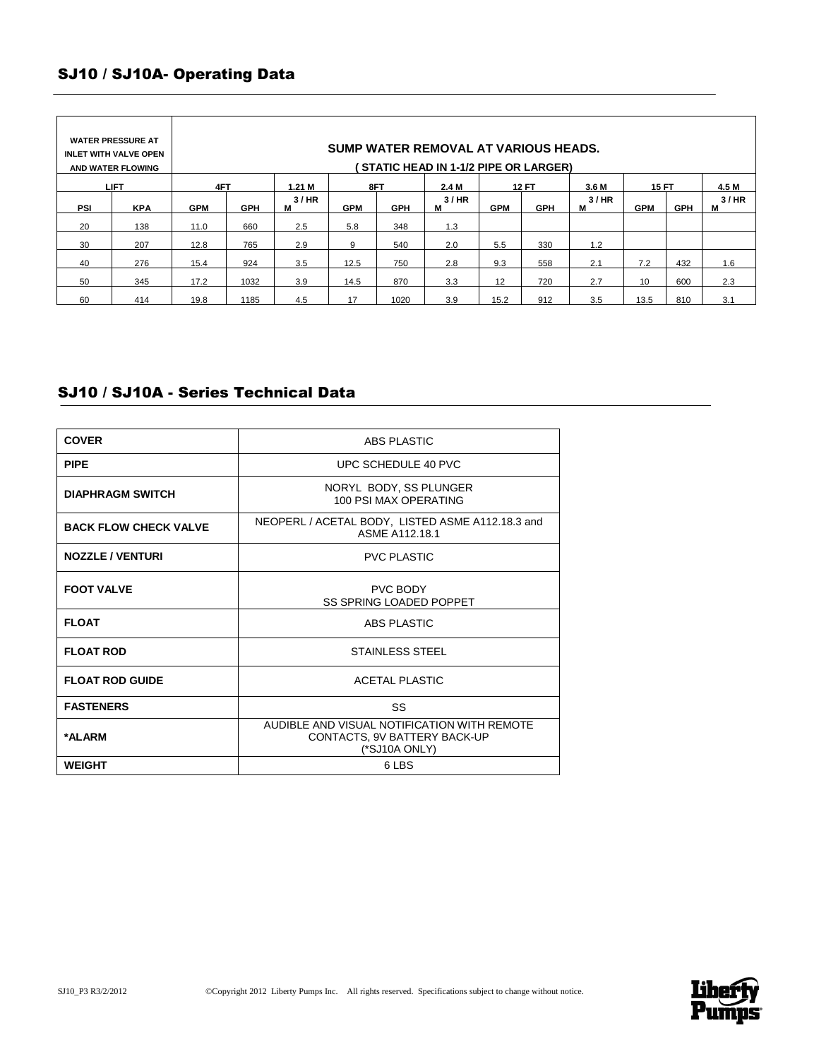# SJ10 / SJ10A- Operating Data

| <b>WATER PRESSURE AT</b><br>INLET WITH VALVE OPEN<br>AND WATER FLOWING |            | SUMP WATER REMOVAL AT VARIOUS HEADS.<br><b>STATIC HEAD IN 1-1/2 PIPE OR LARGER)</b> |            |           |            |            |           |              |            |           |              |            |           |  |
|------------------------------------------------------------------------|------------|-------------------------------------------------------------------------------------|------------|-----------|------------|------------|-----------|--------------|------------|-----------|--------------|------------|-----------|--|
| <b>LIFT</b>                                                            |            | 4FT                                                                                 |            | $1.21$ M  | 8FT        |            | 2.4 M     | <b>12 FT</b> |            | 3.6 M     | <b>15 FT</b> |            | 4.5 M     |  |
| <b>PSI</b>                                                             | <b>KPA</b> | <b>GPM</b>                                                                          | <b>GPH</b> | 3/HR<br>М | <b>GPM</b> | <b>GPH</b> | 3/HR<br>м | <b>GPM</b>   | <b>GPH</b> | 3/HR<br>м | <b>GPM</b>   | <b>GPH</b> | 3/HR<br>м |  |
| 20                                                                     | 138        | 11.0                                                                                | 660        | 2.5       | 5.8        | 348        | 1.3       |              |            |           |              |            |           |  |
| 30                                                                     | 207        | 12.8                                                                                | 765        | 2.9       | 9          | 540        | 2.0       | 5.5          | 330        | 1.2       |              |            |           |  |
| 40                                                                     | 276        | 15.4                                                                                | 924        | 3.5       | 12.5       | 750        | 2.8       | 9.3          | 558        | 2.1       | 7.2          | 432        | 1.6       |  |
| 50                                                                     | 345        | 17.2                                                                                | 1032       | 3.9       | 14.5       | 870        | 3.3       | 12           | 720        | 2.7       | 10           | 600        | 2.3       |  |
| 60                                                                     | 414        | 19.8                                                                                | 1185       | 4.5       | 17         | 1020       | 3.9       | 15.2         | 912        | 3.5       | 13.5         | 810        | 3.1       |  |

# SJ10 / SJ10A - Series Technical Data

| <b>COVER</b>                 | ABS PLASTIC                                                                                  |  |  |  |  |
|------------------------------|----------------------------------------------------------------------------------------------|--|--|--|--|
| <b>PIPE</b>                  | UPC SCHEDULE 40 PVC                                                                          |  |  |  |  |
| <b>DIAPHRAGM SWITCH</b>      | NORYL BODY, SS PLUNGER<br>100 PSI MAX OPFRATING                                              |  |  |  |  |
| <b>BACK FLOW CHECK VALVE</b> | NEOPERL / ACETAL BODY, LISTED ASME A112.18.3 and<br>ASME A112.18.1                           |  |  |  |  |
| <b>NOZZLE / VENTURI</b>      | <b>PVC PLASTIC</b>                                                                           |  |  |  |  |
| <b>FOOT VALVE</b>            | <b>PVC BODY</b><br><b>SS SPRING LOADED POPPET</b>                                            |  |  |  |  |
| <b>FLOAT</b>                 | <b>ABS PLASTIC</b>                                                                           |  |  |  |  |
| <b>FLOAT ROD</b>             | <b>STAINLESS STEEL</b>                                                                       |  |  |  |  |
| <b>FLOAT ROD GUIDE</b>       | <b>ACETAL PLASTIC</b>                                                                        |  |  |  |  |
| <b>FASTENERS</b>             | SS                                                                                           |  |  |  |  |
| *ALARM                       | AUDIBLE AND VISUAL NOTIFICATION WITH REMOTE<br>CONTACTS, 9V BATTERY BACK-UP<br>(*SJ10A ONLY) |  |  |  |  |
| <b>WEIGHT</b>                | 6 LBS                                                                                        |  |  |  |  |